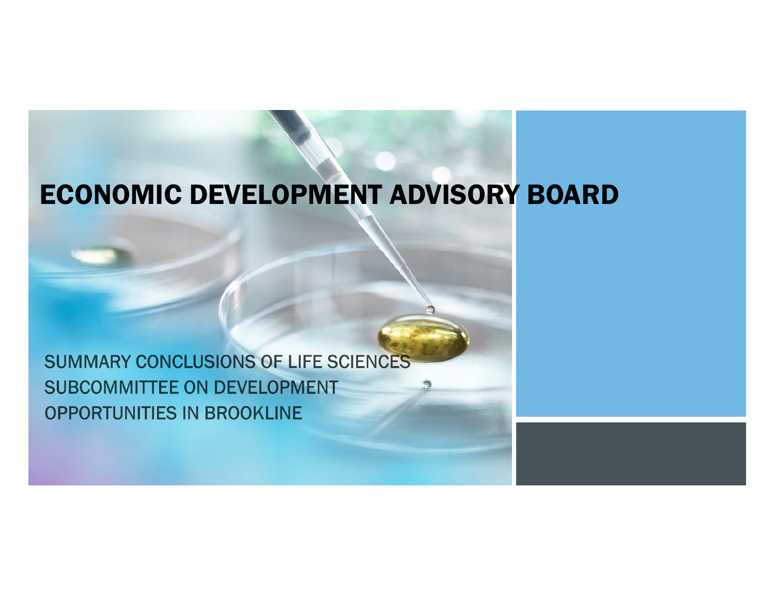## ECONOMIC DEVELOPMENT ADVISORY BOARD

SUMMARY CONCLUSIONS OF LIFE SCIENCES **SUBCOMMITTEE ON DEVELOPMENT** OPPORTUNITIES IN BROOKLINE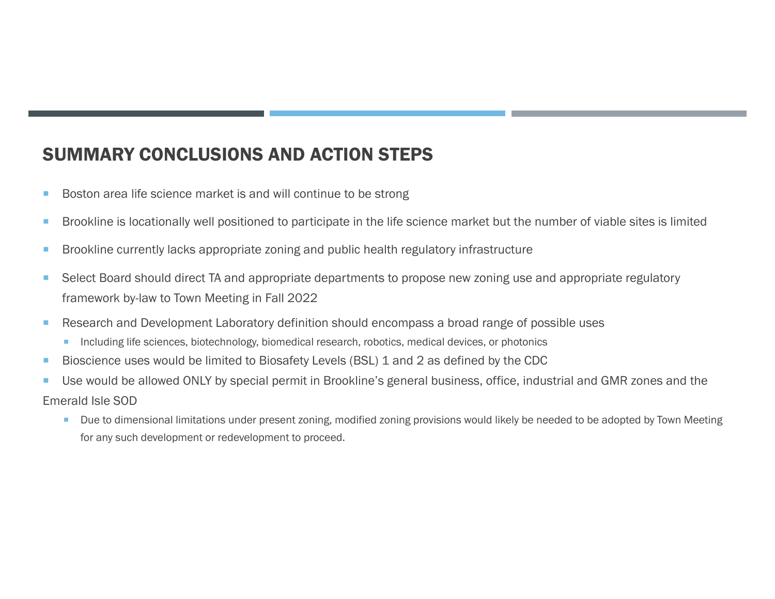## SUMMARY CONCLUSIONS AND ACTION STEPS

- $\mathcal{L}_{\mathcal{A}}$ Boston area life science market is and will continue to be strong
- $\mathcal{L}_{\mathcal{A}}$ Brookline is locationally well positioned to participate in the life science market but the number of viable sites is limited
- a. Brookline currently lacks appropriate zoning and public health regulatory infrastructure
- $\mathcal{L}_{\mathcal{A}}$  Select Board should direct TA and appropriate departments to propose new zoning use and appropriate regulatory framework by-law to Town Meeting in Fall 2022
- $\mathcal{L}_{\mathcal{A}}$  Research and Development Laboratory definition should encompass a broad range of possible uses
	- **Including life sciences, biotechnology, biomedical research, robotics, medical devices, or photonics**
- ×, Bioscience uses would be limited to Biosafety Levels (BSL) 1 and 2 as defined by the CDC
- T. Use would be allowed ONLY by special permit in Brookline's general business, office, industrial and GMR zones and the
- Emerald Isle SOD
	- $\mathcal{L}_{\mathcal{A}}$  Due to dimensional limitations under present zoning, modified zoning provisions would likely be needed to be adopted by Town Meeting for any such development or redevelopment to proceed.